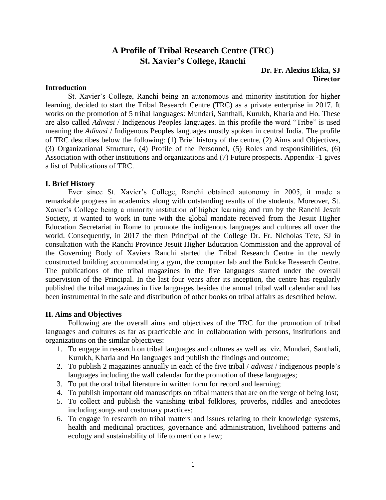# **A Profile of Tribal Research Centre (TRC) St. Xavier's College, Ranchi**

#### **Dr. Fr. Alexius Ekka, SJ Director**

#### **Introduction**

St. Xavier's College, Ranchi being an autonomous and minority institution for higher learning, decided to start the Tribal Research Centre (TRC) as a private enterprise in 2017. It works on the promotion of 5 tribal languages: Mundari, Santhali, Kurukh, Kharia and Ho. These are also called *Adivasi* / Indigenous Peoples languages. In this profile the word "Tribe" is used meaning the *Adivasi* / Indigenous Peoples languages mostly spoken in central India. The profile of TRC describes below the following: (1) Brief history of the centre, (2) Aims and Objectives, (3) Organizational Structure, (4) Profile of the Personnel, (5) Roles and responsibilities, (6) Association with other institutions and organizations and (7) Future prospects. Appendix -1 gives a list of Publications of TRC.

#### **I. Brief History**

Ever since St. Xavier's College, Ranchi obtained autonomy in 2005, it made a remarkable progress in academics along with outstanding results of the students. Moreover, St. Xavier's College being a minority institution of higher learning and run by the Ranchi Jesuit Society, it wanted to work in tune with the global mandate received from the Jesuit Higher Education Secretariat in Rome to promote the indigenous languages and cultures all over the world. Consequently, in 2017 the then Principal of the College Dr. Fr. Nicholas Tete, SJ in consultation with the Ranchi Province Jesuit Higher Education Commission and the approval of the Governing Body of Xaviers Ranchi started the Tribal Research Centre in the newly constructed building accommodating a gym, the computer lab and the Bulcke Research Centre. The publications of the tribal magazines in the five languages started under the overall supervision of the Principal. In the last four years after its inception, the centre has regularly published the tribal magazines in five languages besides the annual tribal wall calendar and has been instrumental in the sale and distribution of other books on tribal affairs as described below.

#### **II. Aims and Objectives**

Following are the overall aims and objectives of the TRC for the promotion of tribal languages and cultures as far as practicable and in collaboration with persons, institutions and organizations on the similar objectives:

- 1. To engage in research on tribal languages and cultures as well as viz. Mundari, Santhali, Kurukh, Kharia and Ho languages and publish the findings and outcome;
- 2. To publish 2 magazines annually in each of the five tribal / *adivasi* / indigenous people's languages including the wall calendar for the promotion of these languages;
- 3. To put the oral tribal literature in written form for record and learning;
- 4. To publish important old manuscripts on tribal matters that are on the verge of being lost;
- 5. To collect and publish the vanishing tribal folklores, proverbs, riddles and anecdotes including songs and customary practices;
- 6. To engage in research on tribal matters and issues relating to their knowledge systems, health and medicinal practices, governance and administration, livelihood patterns and ecology and sustainability of life to mention a few;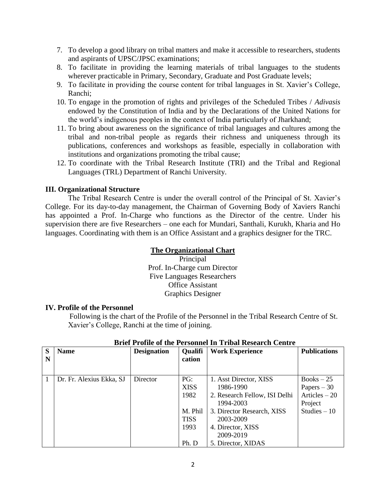- 7. To develop a good library on tribal matters and make it accessible to researchers, students and aspirants of UPSC/JPSC examinations;
- 8. To facilitate in providing the learning materials of tribal languages to the students wherever practicable in Primary, Secondary, Graduate and Post Graduate levels;
- 9. To facilitate in providing the course content for tribal languages in St. Xavier's College, Ranchi;
- 10. To engage in the promotion of rights and privileges of the Scheduled Tribes / *Adivasis*  endowed by the Constitution of India and by the Declarations of the United Nations for the world's indigenous peoples in the context of India particularly of Jharkhand;
- 11. To bring about awareness on the significance of tribal languages and cultures among the tribal and non-tribal people as regards their richness and uniqueness through its publications, conferences and workshops as feasible, especially in collaboration with institutions and organizations promoting the tribal cause;
- 12. To coordinate with the Tribal Research Institute (TRI) and the Tribal and Regional Languages (TRL) Department of Ranchi University.

# **III. Organizational Structure**

The Tribal Research Centre is under the overall control of the Principal of St. Xavier's College. For its day-to-day management, the Chairman of Governing Body of Xaviers Ranchi has appointed a Prof. In-Charge who functions as the Director of the centre. Under his supervision there are five Researchers – one each for Mundari, Santhali, Kurukh, Kharia and Ho languages. Coordinating with them is an Office Assistant and a graphics designer for the TRC.

# **The Organizational Chart**

Principal Prof. In-Charge cum Director Five Languages Researchers Office Assistant Graphics Designer

# **IV. Profile of the Personnel**

Following is the chart of the Profile of the Personnel in the Tribal Research Centre of St. Xavier's College, Ranchi at the time of joining.

| S | <b>Name</b>              | <b>Designation</b> | <b>Qualifi</b> | <b>Work Experience</b>        | <b>Publications</b> |
|---|--------------------------|--------------------|----------------|-------------------------------|---------------------|
| N |                          |                    | cation         |                               |                     |
|   |                          |                    |                |                               |                     |
|   | Dr. Fr. Alexius Ekka, SJ | Director           | PG:            | 1. Asst Director, XISS        | $Books - 25$        |
|   |                          |                    | <b>XISS</b>    | 1986-1990                     | Papers $-30$        |
|   |                          |                    | 1982           | 2. Research Fellow, ISI Delhi | Articles $-20$      |
|   |                          |                    |                | 1994-2003                     | Project             |
|   |                          |                    | M. Phil        | 3. Director Research, XISS    |                     |
|   |                          |                    | <b>TISS</b>    | 2003-2009                     |                     |
|   |                          |                    | 1993           | 4. Director, XISS             |                     |
|   |                          |                    |                | 2009-2019                     |                     |
|   |                          |                    | Ph. D          | 5. Director, XIDAS            |                     |

# **Brief Profile of the Personnel In Tribal Research Centre**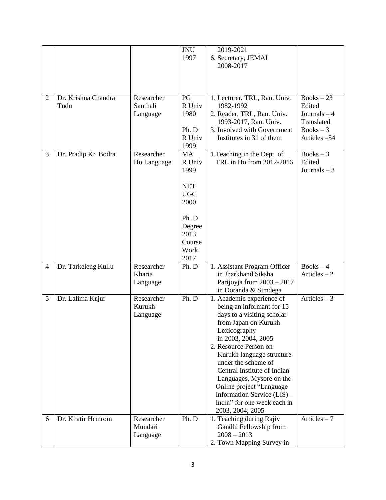|                |                             |                        | <b>JNU</b>     | 2019-2021                                            |                        |
|----------------|-----------------------------|------------------------|----------------|------------------------------------------------------|------------------------|
|                |                             |                        | 1997           | 6. Secretary, JEMAI<br>2008-2017                     |                        |
|                |                             |                        |                |                                                      |                        |
|                |                             |                        |                |                                                      |                        |
|                |                             |                        |                |                                                      |                        |
| $\overline{2}$ | Dr. Krishna Chandra<br>Tudu | Researcher<br>Santhali | PG<br>R Univ   | 1. Lecturer, TRL, Ran. Univ.<br>1982-1992            | $Books - 23$<br>Edited |
|                |                             | Language               | 1980           | 2. Reader, TRL, Ran. Univ.                           | Journals $-4$          |
|                |                             |                        |                | 1993-2017, Ran. Univ.                                | Translated             |
|                |                             |                        | Ph. D          | 3. Involved with Government                          | $Books - 3$            |
|                |                             |                        | R Univ<br>1999 | Institutes in 31 of them                             | Articles -54           |
| 3              | Dr. Pradip Kr. Bodra        | Researcher             | <b>MA</b>      | 1. Teaching in the Dept. of                          | $Books - 3$            |
|                |                             | Ho Language            | R Univ         | TRL in Ho from 2012-2016                             | Edited                 |
|                |                             |                        | 1999           |                                                      | Journals $-3$          |
|                |                             |                        | <b>NET</b>     |                                                      |                        |
|                |                             |                        | <b>UGC</b>     |                                                      |                        |
|                |                             |                        | 2000           |                                                      |                        |
|                |                             |                        | Ph. D          |                                                      |                        |
|                |                             |                        | Degree         |                                                      |                        |
|                |                             |                        | 2013           |                                                      |                        |
|                |                             |                        | Course         |                                                      |                        |
|                |                             |                        | Work<br>2017   |                                                      |                        |
| $\overline{4}$ | Dr. Tarkeleng Kullu         | Researcher             | Ph. D          | 1. Assistant Program Officer                         | $Books - 4$            |
|                |                             | Kharia                 |                | in Jharkhand Siksha                                  | Articles $-2$          |
|                |                             | Language               |                | Parijoyja from $2003 - 2017$                         |                        |
| 5              | Dr. Lalima Kujur            | Researcher             | Ph. D          | in Doranda & Simdega<br>1. Academic experience of    | Articles $-3$          |
|                |                             | Kurukh                 |                | being an informant for 15                            |                        |
|                |                             | Language               |                | days to a visiting scholar                           |                        |
|                |                             |                        |                | from Japan on Kurukh                                 |                        |
|                |                             |                        |                | Lexicography                                         |                        |
|                |                             |                        |                | in 2003, 2004, 2005<br>2. Resource Person on         |                        |
|                |                             |                        |                | Kurukh language structure                            |                        |
|                |                             |                        |                | under the scheme of                                  |                        |
|                |                             |                        |                | Central Institute of Indian                          |                        |
|                |                             |                        |                | Languages, Mysore on the<br>Online project "Language |                        |
|                |                             |                        |                | Information Service (LIS) –                          |                        |
|                |                             |                        |                | India" for one week each in                          |                        |
|                |                             |                        |                | 2003, 2004, 2005                                     |                        |
| 6              | Dr. Khatir Hemrom           | Researcher<br>Mundari  | Ph. D          | 1. Teaching during Rajiv                             | Articles $-7$          |
|                |                             | Language               |                | Gandhi Fellowship from<br>$2008 - 2013$              |                        |
|                |                             |                        |                | 2. Town Mapping Survey in                            |                        |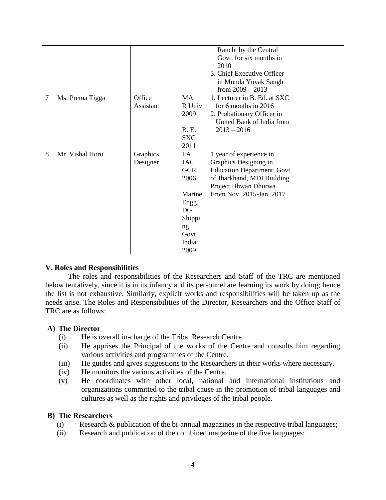|   |                 |           |            | Ranchi by the Central        |  |
|---|-----------------|-----------|------------|------------------------------|--|
|   |                 |           |            | Govt. for six months in      |  |
|   |                 |           |            | 2010                         |  |
|   |                 |           |            | 3. Chief Executive Officer   |  |
|   |                 |           |            | in Munda Yuvak Sangh         |  |
|   |                 |           |            | from $2009 - 2013$           |  |
| 7 | Ms. Prema Tigga | Office    | MA         | 1. Lecturer in B. Ed. at SXC |  |
|   |                 | Assistant | R Univ     | for 6 months in 2016         |  |
|   |                 |           | 2009       | 2. Probationary Officer in   |  |
|   |                 |           |            | United Bank of India from    |  |
|   |                 |           | B. Ed      | $2013 - 2016$                |  |
|   |                 |           | <b>SXC</b> |                              |  |
|   |                 |           | 2011       |                              |  |
| 8 | Mr. Vishal Horo | Graphics  | I.A.       | 1 year of experience in      |  |
|   |                 | Designer  | <b>JAC</b> | Graphics Designing in        |  |
|   |                 |           | <b>GCR</b> | Education Department, Govt.  |  |
|   |                 |           | 2006       | of Jharkhand, MDI Building   |  |
|   |                 |           |            | Project Bhwan Dhurwa         |  |
|   |                 |           | Marine     | From Nov. 2015-Jan. 2017     |  |
|   |                 |           | Engg.      |                              |  |
|   |                 |           | DG         |                              |  |
|   |                 |           | Shippi     |                              |  |
|   |                 |           | ng         |                              |  |
|   |                 |           |            |                              |  |
|   |                 |           |            |                              |  |
|   |                 |           | India      |                              |  |
|   |                 |           | Govt.      |                              |  |

# **V. Roles and Responsibilities**

The roles and responsibilities of the Researchers and Staff of the TRC are mentioned below tentatively, since it is in its infancy and its personnel are learning its work by doing; hence the list is not exhaustive. Similarly, explicit works and responsibilities will be taken up as the needs arise. The Roles and Responsibilities of the Director, Researchers and the Office Staff of TRC are as follows:

# **A) The Director**

- (i) He is overall in-charge of the Tribal Research Centre.
- (ii) He apprises the Principal of the works of the Centre and consults him regarding various activities and programmes of the Centre.
- (iii) He guides and gives suggestions to the Researchers in their works where necessary.
- (iv) He monitors the various activities of the Centre.
- (v) He coordinates with other local, national and international institutions and organizations committed to the tribal cause in the promotion of tribal languages and cultures as well as the rights and privileges of the tribal people.

#### **B) The Researchers**

- (i) Research & publication of the bi-annual magazines in the respective tribal languages;
- (ii) Research and publication of the combined magazine of the five languages;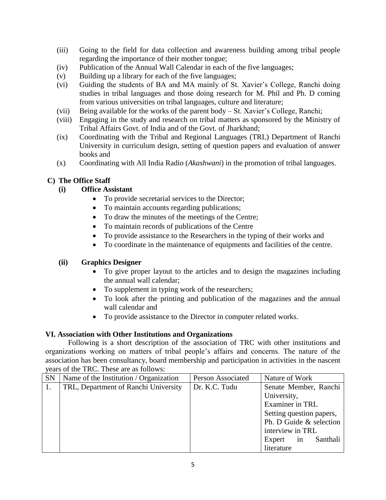- (iii) Going to the field for data collection and awareness building among tribal people regarding the importance of their mother tongue;
- (iv) Publication of the Annual Wall Calendar in each of the five languages;
- (v) Building up a library for each of the five languages;
- (vi) Guiding the students of BA and MA mainly of St. Xavier's College, Ranchi doing studies in tribal languages and those doing research for M. Phil and Ph. D coming from various universities on tribal languages, culture and literature;
- (vii) Being available for the works of the parent body St. Xavier's College, Ranchi;
- (viii) Engaging in the study and research on tribal matters as sponsored by the Ministry of Tribal Affairs Govt. of India and of the Govt. of Jharkhand;
- (ix) Coordinating with the Tribal and Regional Languages (TRL) Department of Ranchi University in curriculum design, setting of question papers and evaluation of answer books and
- (x) Coordinating with All India Radio (*Akashwani*) in the promotion of tribal languages.

# **C) The Office Staff**

# **(i) Office Assistant**

- To provide secretarial services to the Director;
- To maintain accounts regarding publications;
- To draw the minutes of the meetings of the Centre;
- To maintain records of publications of the Centre
- To provide assistance to the Researchers in the typing of their works and
- To coordinate in the maintenance of equipments and facilities of the centre.

# **(ii) Graphics Designer**

- To give proper layout to the articles and to design the magazines including the annual wall calendar;
- To supplement in typing work of the researchers;
- To look after the printing and publication of the magazines and the annual wall calendar and
- To provide assistance to the Director in computer related works.

# **VI. Association with Other Institutions and Organizations**

Following is a short description of the association of TRC with other institutions and organizations working on matters of tribal people's affairs and concerns. The nature of the association has been consultancy, board membership and participation in activities in the nascent years of the TRC. These are as follows:

| <b>SN</b> | Name of the Institution / Organization | Person Associated | Nature of Work           |  |
|-----------|----------------------------------------|-------------------|--------------------------|--|
| 1.        | TRL, Department of Ranchi University   | Dr. K.C. Tudu     | Senate Member, Ranchi    |  |
|           |                                        |                   | University,              |  |
|           |                                        |                   | Examiner in TRL          |  |
|           |                                        |                   | Setting question papers, |  |
|           |                                        |                   | Ph. D Guide & selection  |  |
|           |                                        |                   | interview in TRL         |  |
|           |                                        |                   | Santhali<br>Expert in    |  |
|           |                                        |                   | literature               |  |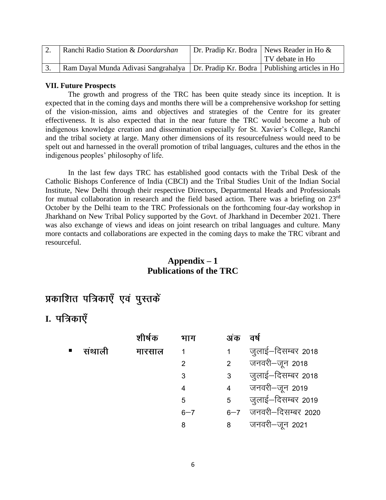| Ranchi Radio Station & Doordarshan                                                     | Dr. Pradip Kr. Bodra   News Reader in Ho & |
|----------------------------------------------------------------------------------------|--------------------------------------------|
|                                                                                        | TV debate in Ho                            |
| Ram Dayal Munda Adivasi Sangrahalya   Dr. Pradip Kr. Bodra   Publishing articles in Ho |                                            |

### **VII. Future Prospects**

The growth and progress of the TRC has been quite steady since its inception. It is expected that in the coming days and months there will be a comprehensive workshop for setting of the vision-mission, aims and objectives and strategies of the Centre for its greater effectiveness. It is also expected that in the near future the TRC would become a hub of indigenous knowledge creation and dissemination especially for St. Xavier's College, Ranchi and the tribal society at large. Many other dimensions of its resourcefulness would need to be spelt out and harnessed in the overall promotion of tribal languages, cultures and the ethos in the indigenous peoples' philosophy of life.

In the last few days TRC has established good contacts with the Tribal Desk of the Catholic Bishops Conference of India (CBCI) and the Tribal Studies Unit of the Indian Social Institute, New Delhi through their respective Directors, Departmental Heads and Professionals for mutual collaboration in research and the field based action. There was a briefing on 23rd October by the Delhi team to the TRC Professionals on the forthcoming four-day workshop in Jharkhand on New Tribal Policy supported by the Govt. of Jharkhand in December 2021. There was also exchange of views and ideas on joint research on tribal languages and culture. Many more contacts and collaborations are expected in the coming days to make the TRC vibrant and resourceful.

# **Appendix – 1 Publications of the TRC**

# प्रकाशित पत्रिकाएँ एवं पुस्तकें

# **I.**

|   |        | शीर्षक | भाग            | अंक             | वर्ष                   |
|---|--------|--------|----------------|-----------------|------------------------|
| ш | संथाली | मारसाल | 1              | 1               | जुलाई–दिसम्बर 2018     |
|   |        |        | $\overline{2}$ | $2^{\circ}$     | जनवरी-जून 2018         |
|   |        |        | 3              | 3 <sup>7</sup>  | जुलाई–दिसम्बर 2018     |
|   |        |        | 4              | $4\overline{ }$ | जनवरी—जून 2019         |
|   |        |        | 5              | 5 <sup>5</sup>  | जुलाई–दिसम्बर 2019     |
|   |        |        | $6 - 7$        |                 | 6-7 जनवरी-दिसम्बर 2020 |
|   |        |        | 8              | 8               | जनवरी—जून 2021         |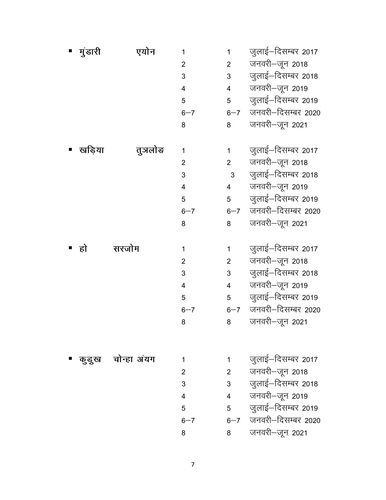| मुंडारी | एयोन             | 1              | 1               | जुलाई—दिसम्बर 2017 |
|---------|------------------|----------------|-----------------|--------------------|
|         |                  | $\overline{2}$ | $2^{\sim}$      | जनवरी-जून 2018     |
|         |                  | 3              | 3 <sup>7</sup>  | जुलाई—दिसम्बर 2018 |
|         |                  | $\overline{4}$ | $4\overline{ }$ | जनवरी-जून 2019     |
|         |                  | 5              | $5^{\circ}$     | जुलाई–दिसम्बर 2019 |
|         |                  | $6 - 7$        | $6 - 7$         | जनवरी-दिसम्बर 2020 |
|         |                  | 8              | 8               | जनवरी-जून 2021     |
|         |                  |                |                 |                    |
| खड़िया  | तुञलोङ           | 1              | $\mathbf 1$     | जुलाई—दिसम्बर 2017 |
|         |                  | $\overline{2}$ | $2^{\sim}$      | जनवरी—जून 2018     |
|         |                  | 3              | 3 <sup>1</sup>  | जुलाई-दिसम्बर 2018 |
|         |                  | $\overline{4}$ | $4\overline{ }$ | जनवरी-जून 2019     |
|         |                  | 5              | 5 <sub>5</sub>  | जुलाई–दिसम्बर 2019 |
|         |                  | $6 - 7$        | $6 - 7$         | जनवरी-दिसम्बर 2020 |
|         |                  | 8              | 8               | जनवरी-जून 2021     |
|         |                  |                |                 |                    |
| हो      | सरजोम            | 1              | $\mathbf 1$     | जुलाई—दिसम्बर 2017 |
|         |                  | $\overline{2}$ | $2^{\sim}$      | जनवरी—जून 2018     |
|         |                  | 3              | 3 <sup>1</sup>  | जुलाई–दिसम्बर 2018 |
|         |                  | $\overline{4}$ | $4\overline{ }$ | जनवरी-जून 2019     |
|         |                  | 5              | 5 <sub>5</sub>  | जुलाई–दिसम्बर 2019 |
|         |                  | $6 - 7$        | $6 - 7$         | जनवरी–दिसम्बर 2020 |
|         |                  | 8              | 8               | जनवरी-जून 2021     |
|         |                  |                |                 |                    |
|         |                  |                |                 |                    |
|         | कुडुख चोन्हा अयग | 1              | $\mathbf 1$     | जुलाई—दिसम्बर 2017 |
|         |                  | $\overline{2}$ | $2^{\circ}$     | जनवरी–जून 2018     |
|         |                  | 3              | 3 <sup>7</sup>  | जुलाई–दिसम्बर 2018 |
|         |                  | 4              | $4\overline{ }$ | जनवरी-जून 2019     |
|         |                  | 5              | 5 <sub>5</sub>  | जुलाई–दिसम्बर 2019 |
|         |                  | $6 - 7$        | $6 - 7$         | जनवरी-दिसम्बर 2020 |

**8 tuojh&twu 2021**